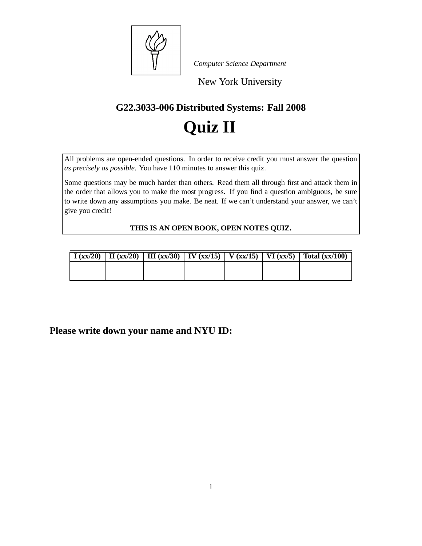

*Computer Science Department*

New York University

### **G22.3033-006 Distributed Systems: Fall 2008**

# **Quiz II**

All problems are open-ended questions. In order to receive credit you must answer the question *as precisely as possible*. You have 110 minutes to answer this quiz.

Some questions may be much harder than others. Read them all through first and attack them in the order that allows you to make the most progress. If you find a question ambiguous, be sure to write down any assumptions you make. Be neat. If we can't understand your answer, we can't give you credit!

**THIS IS AN OPEN BOOK, OPEN NOTES QUIZ.**

|  |  |  | $\mid$ I (xx/20) $\mid$ II (xx/20) $\mid$ III (xx/30) $\mid$ IV (xx/15) $\mid$ V (xx/15) $\mid$ VI (xx/5) $\mid$ Total (xx/100) |
|--|--|--|---------------------------------------------------------------------------------------------------------------------------------|
|  |  |  |                                                                                                                                 |
|  |  |  |                                                                                                                                 |

**Please write down your name and NYU ID:**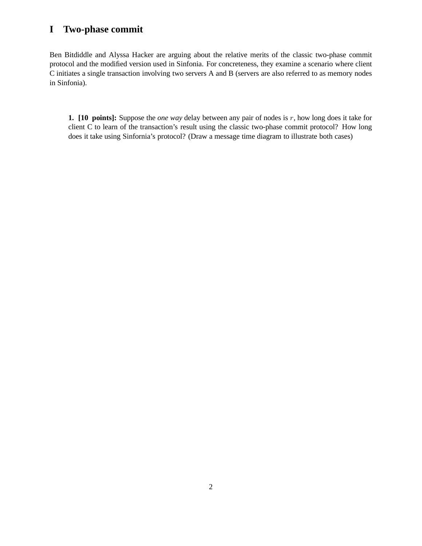#### **I Two-phase commit**

Ben Bitdiddle and Alyssa Hacker are arguing about the relative merits of the classic two-phase commit protocol and the modified version used in Sinfonia. For concreteness, they examine a scenario where client C initiates a single transaction involving two servers A and B (servers are also referred to as memory nodes in Sinfonia).

**1. [10 points]:** Suppose the *one way* delay between any pair of nodes is r, how long does it take for client C to learn of the transaction's result using the classic two-phase commit protocol? How long does it take using Sinfornia's protocol? (Draw a message time diagram to illustrate both cases)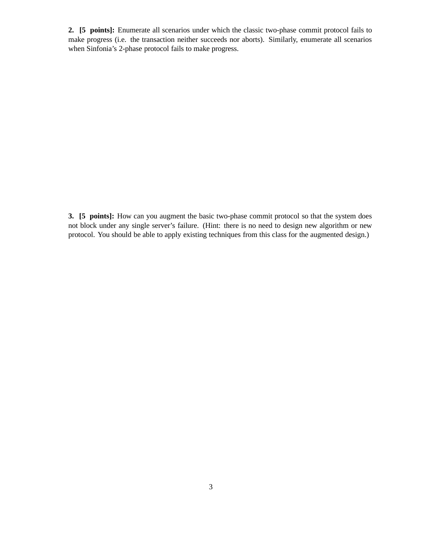**2. [5 points]:** Enumerate all scenarios under which the classic two-phase commit protocol fails to make progress (i.e. the transaction neither succeeds nor aborts). Similarly, enumerate all scenarios when Sinfonia's 2-phase protocol fails to make progress.

**3. [5 points]:** How can you augment the basic two-phase commit protocol so that the system does not block under any single server's failure. (Hint: there is no need to design new algorithm or new protocol. You should be able to apply existing techniques from this class for the augmented design.)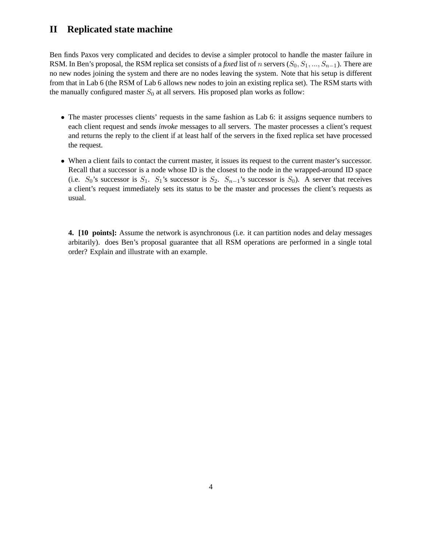#### **II Replicated state machine**

Ben finds Paxos very complicated and decides to devise a simpler protocol to handle the master failure in RSM. In Ben's proposal, the RSM replica set consists of a *fixed* list of n servers  $(S_0, S_1, ..., S_{n-1})$ . There are no new nodes joining the system and there are no nodes leaving the system. Note that his setup is different from that in Lab 6 (the RSM of Lab 6 allows new nodes to join an existing replica set). The RSM starts with the manually configured master  $S_0$  at all servers. His proposed plan works as follow:

- The master processes clients' requests in the same fashion as Lab 6: it assigns sequence numbers to each client request and sends *invoke* messages to all servers. The master processes a client's request and returns the reply to the client if at least half of the servers in the fixed replica set have processed the request.
- When a client fails to contact the current master, it issues its request to the current master's successor. Recall that a successor is a node whose ID is the closest to the node in the wrapped-around ID space (i.e.  $S_0$ 's successor is  $S_1$ .  $S_1$ 's successor is  $S_2$ .  $S_{n-1}$ 's successor is  $S_0$ ). A server that receives a client's request immediately sets its status to be the master and processes the client's requests as usual.

**4. [10 points]:** Assume the network is asynchronous (i.e. it can partition nodes and delay messages arbitarily). does Ben's proposal guarantee that all RSM operations are performed in a single total order? Explain and illustrate with an example.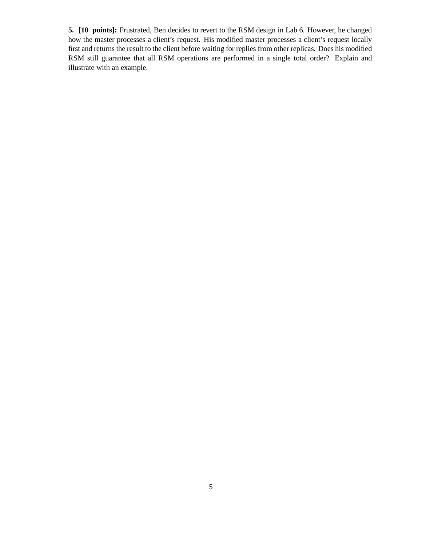**5. [10 points]:** Frustrated, Ben decides to revert to the RSM design in Lab 6. However, he changed how the master processes a client's request. His modified master processes a client's request locally first and returns the result to the client before waiting for replies from other replicas. Does his modified RSM still guarantee that all RSM operations are performed in a single total order? Explain and illustrate with an example.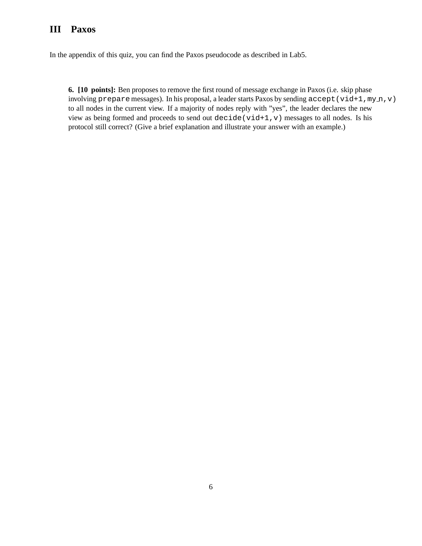#### **III Paxos**

In the appendix of this quiz, you can find the Paxos pseudocode as described in Lab5.

**6. [10 points]:** Ben proposes to remove the first round of message exchange in Paxos (i.e. skip phase involving prepare messages). In his proposal, a leader starts Paxos by sending accept (vid+1,my n, v) to all nodes in the current view. If a majority of nodes reply with "yes", the leader declares the new view as being formed and proceeds to send out decide (vid+1, v) messages to all nodes. Is his protocol still correct? (Give a brief explanation and illustrate your answer with an example.)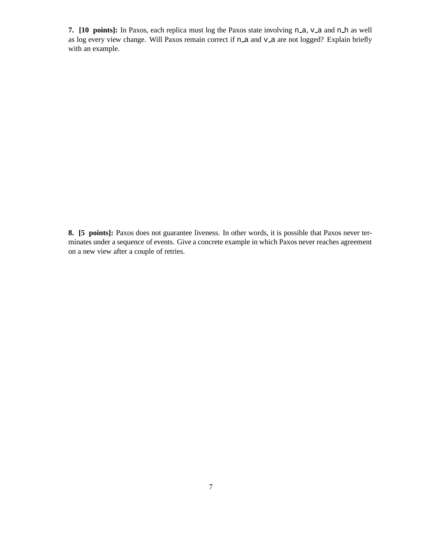**7.** [10 points]: In Paxos, each replica must log the Paxos state involving n a, v a and n h as well as log every view change. Will Paxos remain correct if n\_a and v\_a are not logged? Explain briefly with an example.

**8. [5 points]:** Paxos does not guarantee liveness. In other words, it is possible that Paxos never terminates under a sequence of events. Give a concrete example in which Paxos never reaches agreement on a new view after a couple of retries.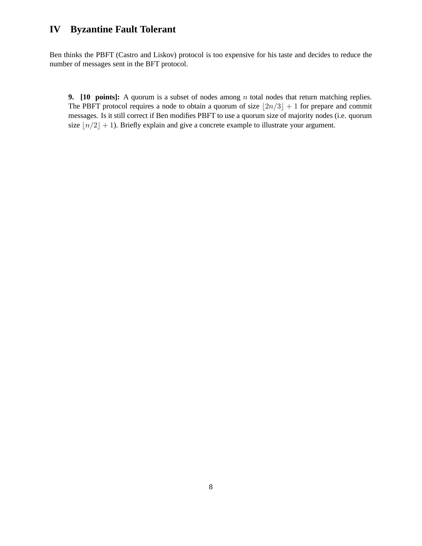#### **IV Byzantine Fault Tolerant**

Ben thinks the PBFT (Castro and Liskov) protocol is too expensive for his taste and decides to reduce the number of messages sent in the BFT protocol.

**9.** [10 points]: A quorum is a subset of nodes among *n* total nodes that return matching replies. The PBFT protocol requires a node to obtain a quorum of size  $|2n/3| + 1$  for prepare and commit messages. Is it still correct if Ben modifies PBFT to use a quorum size of majority nodes (i.e. quorum size  $\lfloor n/2 \rfloor + 1$ ). Briefly explain and give a concrete example to illustrate your argument.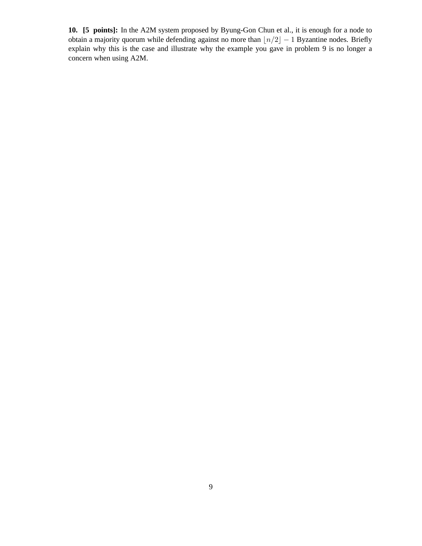**10. [5 points]:** In the A2M system proposed by Byung-Gon Chun et al., it is enough for a node to obtain a majority quorum while defending against no more than  $\lfloor n/2 \rfloor - 1$  Byzantine nodes. Briefly explain why this is the case and illustrate why the example you gave in problem 9 is no longer a concern when using A2M.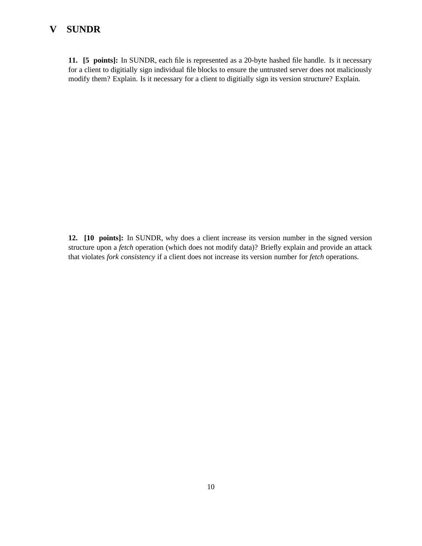#### **V SUNDR**

**11. [5 points]:** In SUNDR, each file is represented as a 20-byte hashed file handle. Is it necessary for a client to digitially sign individual file blocks to ensure the untrusted server does not maliciously modify them? Explain. Is it necessary for a client to digitially sign its version structure? Explain.

**12. [10 points]:** In SUNDR, why does a client increase its version number in the signed version structure upon a *fetch* operation (which does not modify data)? Briefly explain and provide an attack that violates *fork consistency* if a client does not increase its version number for *fetch* operations.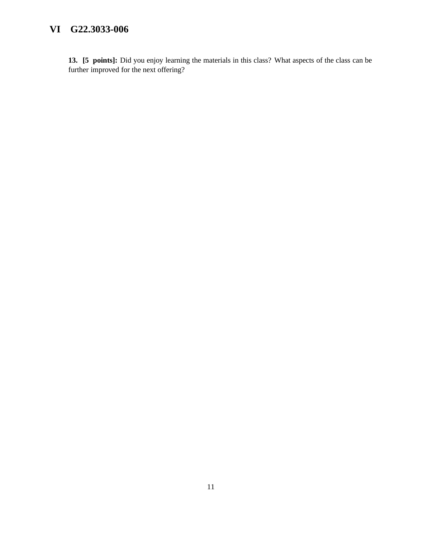#### **VI G22.3033-006**

**13. [5 points]:** Did you enjoy learning the materials in this class? What aspects of the class can be further improved for the next offering?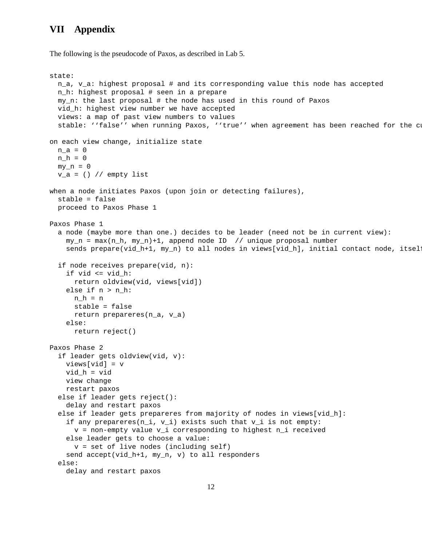#### **VII Appendix**

The following is the pseudocode of Paxos, as described in Lab 5.

```
state:
 n_a, v_a: highest proposal # and its corresponding value this node has accepted
 n_h: highest proposal # seen in a prepare
 my_n: the last proposal # the node has used in this round of Paxos
 vid_h: highest view number we have accepted
 views: a map of past view numbers to values
  stable: ''false'' when running Paxos, ''true'' when agreement has been reached for the cu
on each view change, initialize state
 n_a = 0n h = 0my_n = 0v_a = () // empty list
when a node initiates Paxos (upon join or detecting failures),
  stable = false
  proceed to Paxos Phase 1
Paxos Phase 1
  a node (maybe more than one.) decides to be leader (need not be in current view):
   my_n = max(n_h, my_n)+1, append node ID // unique proposal number
   sends prepare(vid_h+1, my_n) to all nodes in views[vid_h], initial contact node, itsel:
  if node receives prepare(vid, n):
    if vid <= vid_h:
     return oldview(vid, views[vid])
   else if n > n_h:
     n h = nstable = false
     return prepareres(n_a, v_a)
   else:
     return reject()
Paxos Phase 2
  if leader gets oldview(vid, v):
   views[vid] = v
   vid_h = vid
   view change
   restart paxos
  else if leader gets reject():
   delay and restart paxos
  else if leader gets prepareres from majority of nodes in views[vid_h]:
    if any prepareres(n_i, v_i) exists such that v_i is not empty:
     v = non-empty value v_i corresponding to highest n_i received
   else leader gets to choose a value:
     v = set of live nodes (including self)
    send accept(vid_h+1, my_n, v) to all responders
  else:
   delay and restart paxos
```